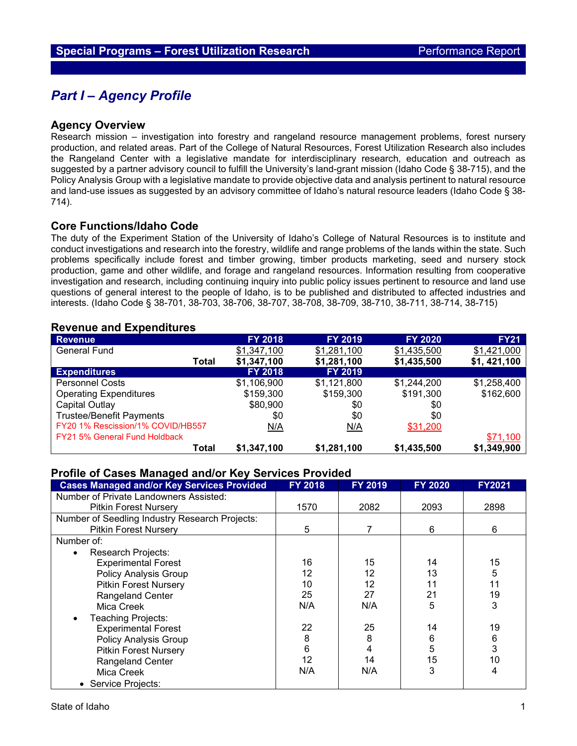# *Part I – Agency Profile*

#### **Agency Overview**

Research mission – investigation into forestry and rangeland resource management problems, forest nursery production, and related areas. Part of the College of Natural Resources, Forest Utilization Research also includes the Rangeland Center with a legislative mandate for interdisciplinary research, education and outreach as suggested by a partner advisory council to fulfill the University's land-grant mission (Idaho Code § 38-715), and the Policy Analysis Group with a legislative mandate to provide objective data and analysis pertinent to natural resource and land-use issues as suggested by an advisory committee of Idaho's natural resource leaders (Idaho Code § 38- 714).

#### **Core Functions/Idaho Code**

The duty of the Experiment Station of the University of Idaho's College of Natural Resources is to institute and conduct investigations and research into the forestry, wildlife and range problems of the lands within the state. Such problems specifically include forest and timber growing, timber products marketing, seed and nursery stock production, game and other wildlife, and forage and rangeland resources. Information resulting from cooperative investigation and research, including continuing inquiry into public policy issues pertinent to resource and land use questions of general interest to the people of Idaho, is to be published and distributed to affected industries and interests. (Idaho Code § 38-701, 38-703, 38-706, 38-707, 38-708, 38-709, 38-710, 38-711, 38-714, 38-715)

#### **Revenue and Expenditures**

| <b>Revenue</b>                    | <b>FY 2018</b> | <b>FY 2019</b> | <b>FY 2020</b> | <b>FY21</b> |
|-----------------------------------|----------------|----------------|----------------|-------------|
| <b>General Fund</b>               | \$1,347,100    | \$1,281,100    | \$1,435,500    | \$1,421,000 |
| Total                             | \$1,347,100    | \$1,281,100    | \$1,435,500    | \$1,421,100 |
| <b>Expenditures</b>               | <b>FY 2018</b> | <b>FY 2019</b> |                |             |
| <b>Personnel Costs</b>            | \$1,106,900    | \$1,121,800    | \$1,244,200    | \$1,258,400 |
| <b>Operating Expenditures</b>     | \$159,300      | \$159,300      | \$191,300      | \$162,600   |
| Capital Outlay                    | \$80,900       | \$0            | \$0            |             |
| <b>Trustee/Benefit Payments</b>   | \$0            | \$0            | \$0            |             |
| FY20 1% Rescission/1% COVID/HB557 | N/A            | N/A            | \$31,200       |             |
| FY21 5% General Fund Holdback     |                |                |                | \$71,100    |
| Total                             | \$1,347,100    | \$1,281,100    | \$1,435,500    | \$1,349,900 |

### **Profile of Cases Managed and/or Key Services Provided**

| <b>Cases Managed and/or Key Services Provided</b> | <b>FY 2018</b> | <b>FY 2019</b> | <b>FY 2020</b> | <b>FY2021</b> |
|---------------------------------------------------|----------------|----------------|----------------|---------------|
| Number of Private Landowners Assisted:            |                |                |                |               |
| <b>Pitkin Forest Nursery</b>                      | 1570           | 2082           | 2093           | 2898          |
| Number of Seedling Industry Research Projects:    |                |                |                |               |
| <b>Pitkin Forest Nursery</b>                      | 5              | 7              | 6              | 6             |
| Number of:                                        |                |                |                |               |
| Research Projects:<br>$\bullet$                   |                |                |                |               |
| <b>Experimental Forest</b>                        | 16             | 15             | 14             | 15            |
| <b>Policy Analysis Group</b>                      | 12             | 12             | 13             | 5             |
| <b>Pitkin Forest Nursery</b>                      | 10             | 12             | 11             | 11            |
| Rangeland Center                                  | 25             | 27             | 21             | 19            |
| Mica Creek                                        | N/A            | N/A            | 5              | 3             |
| Teaching Projects:<br>$\bullet$                   |                |                |                |               |
| <b>Experimental Forest</b>                        | 22             | 25             | 14             | 19            |
| <b>Policy Analysis Group</b>                      | 8              | 8              | 6              | 6             |
| <b>Pitkin Forest Nursery</b>                      | 6              | 4              | 5              | 3             |
| Rangeland Center                                  | 12             | 14             | 15             | 10            |
| Mica Creek                                        | N/A            | N/A            | 3              | 4             |
| Service Projects:                                 |                |                |                |               |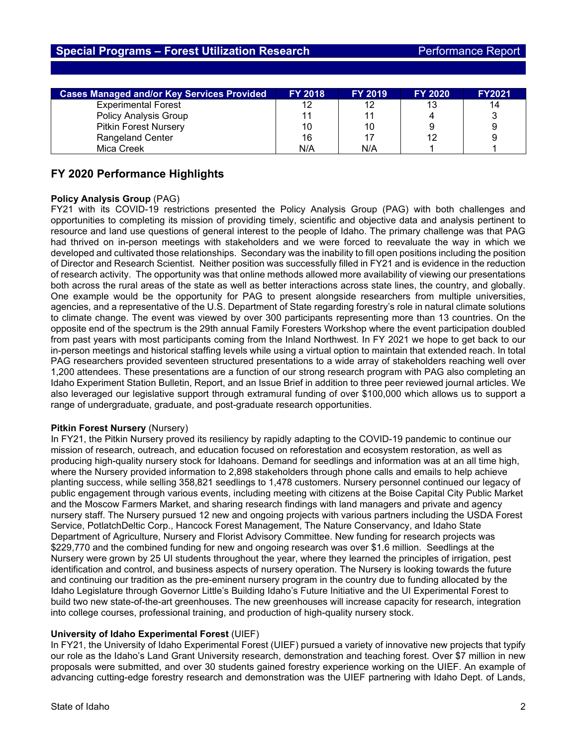| <b>Cases Managed and/or Key Services Provided</b> | <b>FY 2018</b> | <b>FY 2019</b> | <b>FY 2020</b> | <b>FY2021</b> |
|---------------------------------------------------|----------------|----------------|----------------|---------------|
| <b>Experimental Forest</b>                        | 12             | 12             | 13             | 14            |
| <b>Policy Analysis Group</b>                      | 11             | 11             |                | 3             |
| <b>Pitkin Forest Nursery</b>                      | 10             | 10             | 9              | 9             |
| <b>Rangeland Center</b>                           | 16             |                | 12             | 9             |
| Mica Creek                                        | N/A            | N/A            |                |               |

## **FY 2020 Performance Highlights**

#### **Policy Analysis Group** (PAG)

FY21 with its COVID-19 restrictions presented the Policy Analysis Group (PAG) with both challenges and opportunities to completing its mission of providing timely, scientific and objective data and analysis pertinent to resource and land use questions of general interest to the people of Idaho. The primary challenge was that PAG had thrived on in-person meetings with stakeholders and we were forced to reevaluate the way in which we developed and cultivated those relationships. Secondary was the inability to fill open positions including the position of Director and Research Scientist. Neither position was successfully filled in FY21 and is evidence in the reduction of research activity. The opportunity was that online methods allowed more availability of viewing our presentations both across the rural areas of the state as well as better interactions across state lines, the country, and globally. One example would be the opportunity for PAG to present alongside researchers from multiple universities, agencies, and a representative of the U.S. Department of State regarding forestry's role in natural climate solutions to climate change. The event was viewed by over 300 participants representing more than 13 countries. On the opposite end of the spectrum is the 29th annual Family Foresters Workshop where the event participation doubled from past years with most participants coming from the Inland Northwest. In FY 2021 we hope to get back to our in-person meetings and historical staffing levels while using a virtual option to maintain that extended reach. In total PAG researchers provided seventeen structured presentations to a wide array of stakeholders reaching well over 1,200 attendees. These presentations are a function of our strong research program with PAG also completing an Idaho Experiment Station Bulletin, Report, and an Issue Brief in addition to three peer reviewed journal articles. We also leveraged our legislative support through extramural funding of over \$100,000 which allows us to support a range of undergraduate, graduate, and post-graduate research opportunities.

#### **Pitkin Forest Nursery (Nursery)**

In FY21, the Pitkin Nursery proved its resiliency by rapidly adapting to the COVID-19 pandemic to continue our mission of research, outreach, and education focused on reforestation and ecosystem restoration, as well as producing high-quality nursery stock for Idahoans. Demand for seedlings and information was at an all time high, where the Nursery provided information to 2,898 stakeholders through phone calls and emails to help achieve planting success, while selling 358,821 seedlings to 1,478 customers. Nursery personnel continued our legacy of public engagement through various events, including meeting with citizens at the Boise Capital City Public Market and the Moscow Farmers Market, and sharing research findings with land managers and private and agency nursery staff. The Nursery pursued 12 new and ongoing projects with various partners including the USDA Forest Service, PotlatchDeltic Corp., Hancock Forest Management, The Nature Conservancy, and Idaho State Department of Agriculture, Nursery and Florist Advisory Committee. New funding for research projects was \$229,770 and the combined funding for new and ongoing research was over \$1.6 million. Seedlings at the Nursery were grown by 25 UI students throughout the year, where they learned the principles of irrigation, pest identification and control, and business aspects of nursery operation. The Nursery is looking towards the future and continuing our tradition as the pre-eminent nursery program in the country due to funding allocated by the Idaho Legislature through Governor Little's Building Idaho's Future Initiative and the UI Experimental Forest to build two new state-of-the-art greenhouses. The new greenhouses will increase capacity for research, integration into college courses, professional training, and production of high-quality nursery stock.

#### **University of Idaho Experimental Forest** (UIEF)

In FY21, the University of Idaho Experimental Forest (UIEF) pursued a variety of innovative new projects that typify our role as the Idaho's Land Grant University research, demonstration and teaching forest. Over \$7 million in new proposals were submitted, and over 30 students gained forestry experience working on the UIEF. An example of advancing cutting-edge forestry research and demonstration was the UIEF partnering with Idaho Dept. of Lands,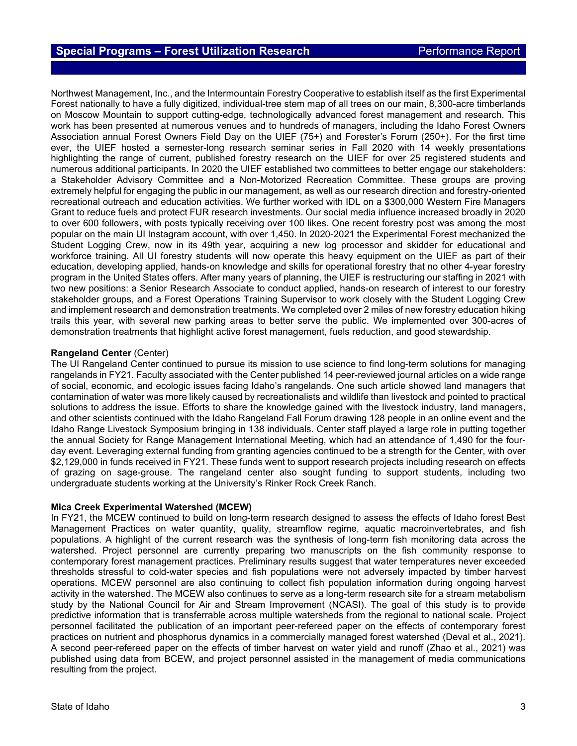Northwest Management, Inc., and the Intermountain Forestry Cooperative to establish itself as the first Experimental Forest nationally to have a fully digitized, individual-tree stem map of all trees on our main, 8,300-acre timberlands on Moscow Mountain to support cutting-edge, technologically advanced forest management and research. This work has been presented at numerous venues and to hundreds of managers, including the Idaho Forest Owners Association annual Forest Owners Field Day on the UIEF (75+) and Forester's Forum (250+). For the first time ever, the UIEF hosted a semester-long research seminar series in Fall 2020 with 14 weekly presentations highlighting the range of current, published forestry research on the UIEF for over 25 registered students and numerous additional participants. In 2020 the UIEF established two committees to better engage our stakeholders: a Stakeholder Advisory Committee and a Non-Motorized Recreation Committee. These groups are proving extremely helpful for engaging the public in our management, as well as our research direction and forestry-oriented recreational outreach and education activities. We further worked with IDL on a \$300,000 Western Fire Managers Grant to reduce fuels and protect FUR research investments. Our social media influence increased broadly in 2020 to over 600 followers, with posts typically receiving over 100 likes. One recent forestry post was among the most popular on the main UI Instagram account, with over 1,450. In 2020-2021 the Experimental Forest mechanized the Student Logging Crew, now in its 49th year, acquiring a new log processor and skidder for educational and workforce training. All UI forestry students will now operate this heavy equipment on the UIEF as part of their education, developing applied, hands-on knowledge and skills for operational forestry that no other 4-year forestry program in the United States offers. After many years of planning, the UIEF is restructuring our staffing in 2021 with two new positions: a Senior Research Associate to conduct applied, hands-on research of interest to our forestry stakeholder groups, and a Forest Operations Training Supervisor to work closely with the Student Logging Crew and implement research and demonstration treatments. We completed over 2 miles of new forestry education hiking trails this year, with several new parking areas to better serve the public. We implemented over 300-acres of demonstration treatments that highlight active forest management, fuels reduction, and good stewardship.

#### **Rangeland Center** (Center)

The UI Rangeland Center continued to pursue its mission to use science to find long-term solutions for managing rangelands in FY21. Faculty associated with the Center published 14 peer-reviewed journal articles on a wide range of social, economic, and ecologic issues facing Idaho's rangelands. One such article showed land managers that contamination of water was more likely caused by recreationalists and wildlife than livestock and pointed to practical solutions to address the issue. Efforts to share the knowledge gained with the livestock industry, land managers, and other scientists continued with the Idaho Rangeland Fall Forum drawing 128 people in an online event and the Idaho Range Livestock Symposium bringing in 138 individuals. Center staff played a large role in putting together the annual Society for Range Management International Meeting, which had an attendance of 1,490 for the fourday event. Leveraging external funding from granting agencies continued to be a strength for the Center, with over \$2,129,000 in funds received in FY21. These funds went to support research projects including research on effects of grazing on sage-grouse. The rangeland center also sought funding to support students, including two undergraduate students working at the University's Rinker Rock Creek Ranch.

#### **Mica Creek Experimental Watershed (MCEW)**

In FY21, the MCEW continued to build on long-term research designed to assess the effects of Idaho forest Best Management Practices on water quantity, quality, streamflow regime, aquatic macroinvertebrates, and fish populations. A highlight of the current research was the synthesis of long-term fish monitoring data across the watershed. Project personnel are currently preparing two manuscripts on the fish community response to contemporary forest management practices. Preliminary results suggest that water temperatures never exceeded thresholds stressful to cold-water species and fish populations were not adversely impacted by timber harvest operations. MCEW personnel are also continuing to collect fish population information during ongoing harvest activity in the watershed. The MCEW also continues to serve as a long-term research site for a stream metabolism study by the National Council for Air and Stream Improvement (NCASI). The goal of this study is to provide predictive information that is transferrable across multiple watersheds from the regional to national scale. Project personnel facilitated the publication of an important peer-refereed paper on the effects of contemporary forest practices on nutrient and phosphorus dynamics in a commercially managed forest watershed (Deval et al., 2021). A second peer-refereed paper on the effects of timber harvest on water yield and runoff (Zhao et al., 2021) was published using data from BCEW, and project personnel assisted in the management of media communications resulting from the project.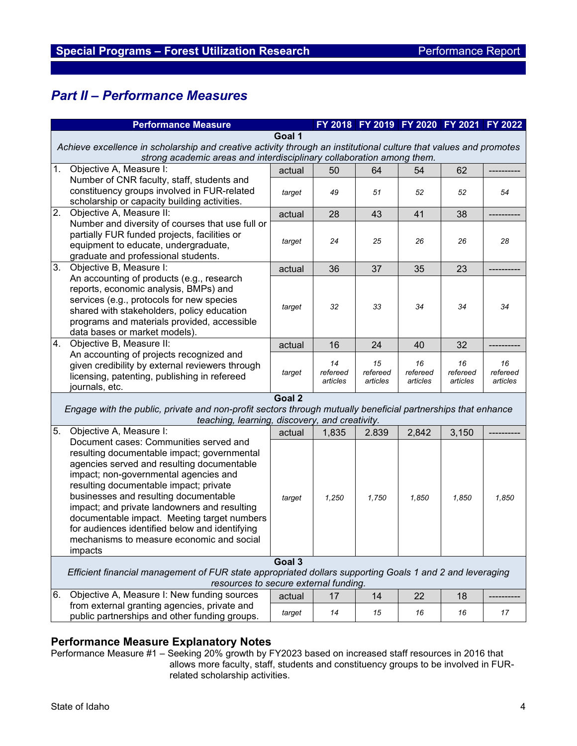# *Part II – Performance Measures*

|    | <b>Performance Measure</b>                                                                                                                                                                                                                                                                                                                                                                                                                                               |        |                            |                            | FY 2018 FY 2019 FY 2020 FY 2021 FY 2022 |                            |                            |
|----|--------------------------------------------------------------------------------------------------------------------------------------------------------------------------------------------------------------------------------------------------------------------------------------------------------------------------------------------------------------------------------------------------------------------------------------------------------------------------|--------|----------------------------|----------------------------|-----------------------------------------|----------------------------|----------------------------|
|    | Goal 1<br>Achieve excellence in scholarship and creative activity through an institutional culture that values and promotes                                                                                                                                                                                                                                                                                                                                              |        |                            |                            |                                         |                            |                            |
|    | strong academic areas and interdisciplinary collaboration among them.                                                                                                                                                                                                                                                                                                                                                                                                    |        |                            |                            |                                         |                            |                            |
| 1. | Objective A, Measure I:                                                                                                                                                                                                                                                                                                                                                                                                                                                  | actual | 50                         | 64                         | 54                                      | 62                         |                            |
|    | Number of CNR faculty, staff, students and<br>constituency groups involved in FUR-related<br>scholarship or capacity building activities.                                                                                                                                                                                                                                                                                                                                | target | 49                         | 51                         | 52                                      | 52                         | 54                         |
| 2. | Objective A, Measure II:                                                                                                                                                                                                                                                                                                                                                                                                                                                 | actual | 28                         | 43                         | 41                                      | 38                         |                            |
|    | Number and diversity of courses that use full or<br>partially FUR funded projects, facilities or<br>equipment to educate, undergraduate,<br>graduate and professional students.                                                                                                                                                                                                                                                                                          | target | 24                         | 25                         | 26                                      | 26                         | 28                         |
| 3. | Objective B, Measure I:                                                                                                                                                                                                                                                                                                                                                                                                                                                  | actual | 36                         | 37                         | 35                                      | 23                         |                            |
|    | An accounting of products (e.g., research<br>reports, economic analysis, BMPs) and<br>services (e.g., protocols for new species<br>shared with stakeholders, policy education<br>programs and materials provided, accessible<br>data bases or market models).                                                                                                                                                                                                            | target | 32                         | 33                         | 34                                      | 34                         | 34                         |
| 4. | Objective B, Measure II:                                                                                                                                                                                                                                                                                                                                                                                                                                                 | actual | 16                         | 24                         | 40                                      | 32                         |                            |
|    | An accounting of projects recognized and<br>given credibility by external reviewers through<br>licensing, patenting, publishing in refereed<br>journals, etc.                                                                                                                                                                                                                                                                                                            | target | 14<br>refereed<br>articles | 15<br>refereed<br>articles | 16<br>refereed<br>articles              | 16<br>refereed<br>articles | 16<br>refereed<br>articles |
|    | Goal 2<br>Engage with the public, private and non-profit sectors through mutually beneficial partnerships that enhance<br>teaching, learning, discovery, and creativity.                                                                                                                                                                                                                                                                                                 |        |                            |                            |                                         |                            |                            |
| 5. | Objective A, Measure I:                                                                                                                                                                                                                                                                                                                                                                                                                                                  | actual | 1,835                      | 2.839                      | 2,842                                   | 3,150                      |                            |
|    | Document cases: Communities served and<br>resulting documentable impact; governmental<br>agencies served and resulting documentable<br>impact; non-governmental agencies and<br>resulting documentable impact; private<br>businesses and resulting documentable<br>impact; and private landowners and resulting<br>documentable impact. Meeting target numbers<br>for audiences identified below and identifying<br>mechanisms to measure economic and social<br>impacts | target | 1,250                      | 1,750                      | 1,850                                   | 1,850                      | 1,850                      |
|    | Goal 3<br>Efficient financial management of FUR state appropriated dollars supporting Goals 1 and 2 and leveraging<br>resources to secure external funding.                                                                                                                                                                                                                                                                                                              |        |                            |                            |                                         |                            |                            |
| 6. | Objective A, Measure I: New funding sources                                                                                                                                                                                                                                                                                                                                                                                                                              | actual | 17                         | 14                         | 22                                      | 18                         |                            |
|    | from external granting agencies, private and<br>public partnerships and other funding groups.                                                                                                                                                                                                                                                                                                                                                                            | target | 14                         | 15                         | 16                                      | 16                         | 17                         |
|    |                                                                                                                                                                                                                                                                                                                                                                                                                                                                          |        |                            |                            |                                         |                            |                            |

## **Performance Measure Explanatory Notes**

Performance Measure #1 – Seeking 20% growth by FY2023 based on increased staff resources in 2016 that allows more faculty, staff, students and constituency groups to be involved in FURrelated scholarship activities.